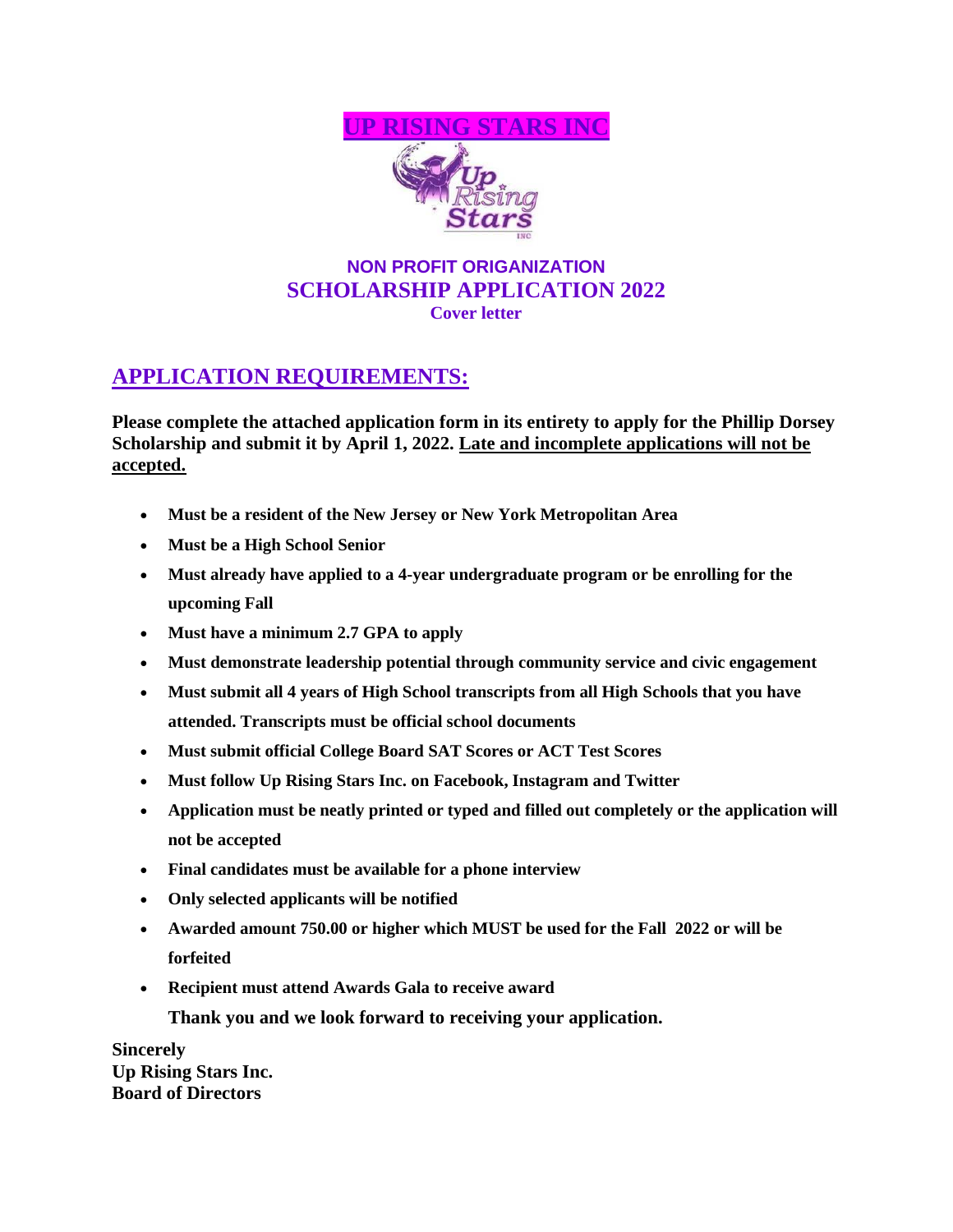

### **NON PROFIT ORIGANIZATION SCHOLARSHIP APPLICATION 2022 Cover letter**

## **APPLICATION REQUIREMENTS:**

**Please complete the attached application form in its entirety to apply for the Phillip Dorsey Scholarship and submit it by April 1, 2022. Late and incomplete applications will not be accepted.**

- **Must be a resident of the New Jersey or New York Metropolitan Area**
- **Must be a High School Senior**
- **Must already have applied to a 4-year undergraduate program or be enrolling for the upcoming Fall**
- **Must have a minimum 2.7 GPA to apply**
- **Must demonstrate leadership potential through community service and civic engagement**
- **Must submit all 4 years of High School transcripts from all High Schools that you have attended. Transcripts must be official school documents**
- **Must submit official College Board SAT Scores or ACT Test Scores**
- **Must follow Up Rising Stars Inc. on Facebook, Instagram and Twitter**
- **Application must be neatly printed or typed and filled out completely or the application will not be accepted**
- **Final candidates must be available for a phone interview**
- **Only selected applicants will be notified**
- **Awarded amount 750.00 or higher which MUST be used for the Fall 2022 or will be forfeited**
- **Recipient must attend Awards Gala to receive award**

**Thank you and we look forward to receiving your application.**

**Sincerely Up Rising Stars Inc. Board of Directors**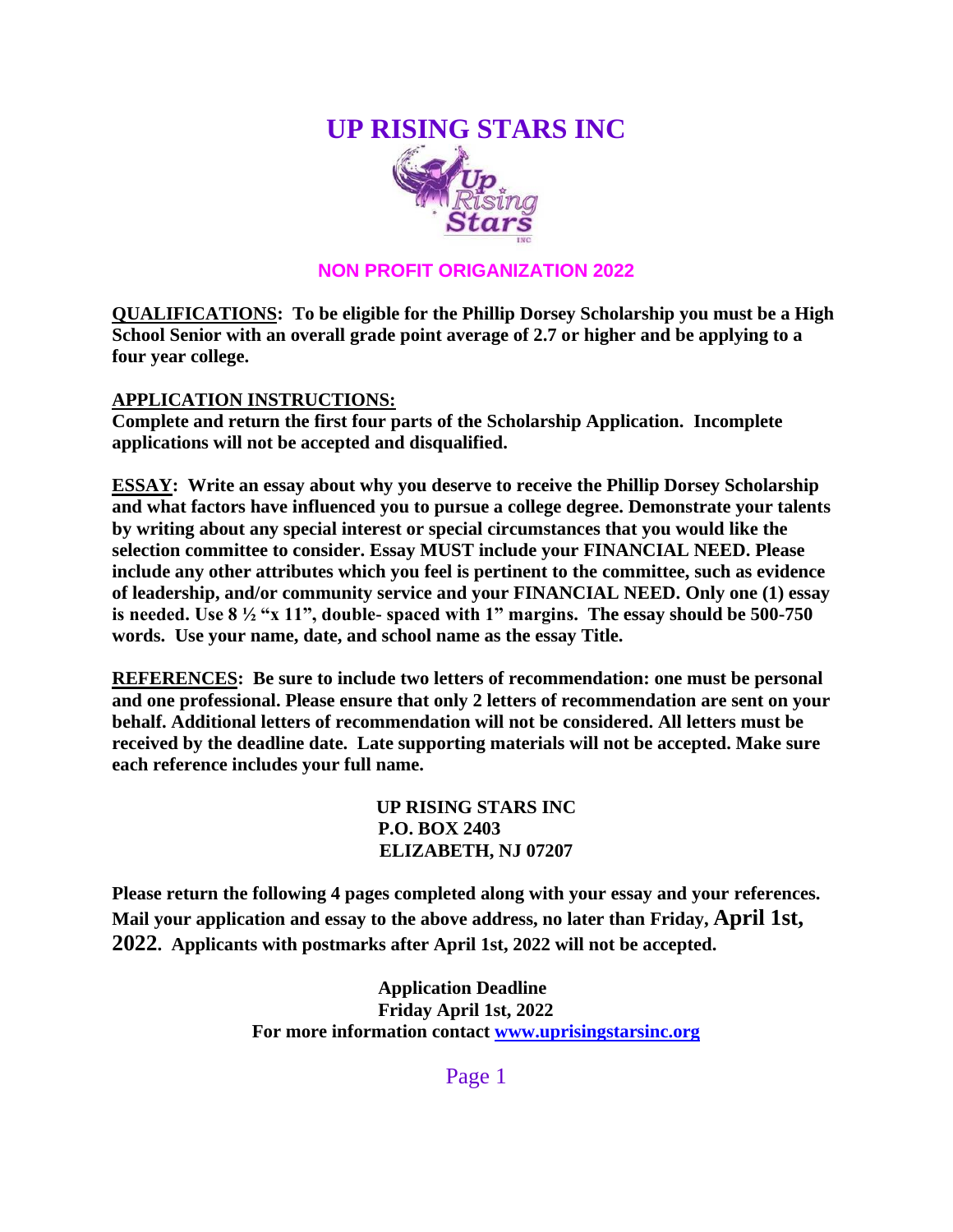

#### **NON PROFIT ORIGANIZATION 2022**

**QUALIFICATIONS: To be eligible for the Phillip Dorsey Scholarship you must be a High School Senior with an overall grade point average of 2.7 or higher and be applying to a four year college.**

#### **APPLICATION INSTRUCTIONS:**

**Complete and return the first four parts of the Scholarship Application. Incomplete applications will not be accepted and disqualified.**

**ESSAY: Write an essay about why you deserve to receive the Phillip Dorsey Scholarship and what factors have influenced you to pursue a college degree. Demonstrate your talents by writing about any special interest or special circumstances that you would like the selection committee to consider. Essay MUST include your FINANCIAL NEED. Please include any other attributes which you feel is pertinent to the committee, such as evidence of leadership, and/or community service and your FINANCIAL NEED. Only one (1) essay is needed. Use 8 ½ "x 11", double- spaced with 1" margins. The essay should be 500-750 words. Use your name, date, and school name as the essay Title.** 

**REFERENCES: Be sure to include two letters of recommendation: one must be personal and one professional. Please ensure that only 2 letters of recommendation are sent on your behalf. Additional letters of recommendation will not be considered. All letters must be received by the deadline date. Late supporting materials will not be accepted. Make sure each reference includes your full name.**

> **UP RISING STARS INC P.O. BOX 2403 ELIZABETH, NJ 07207**

**Please return the following 4 pages completed along with your essay and your references. Mail your application and essay to the above address, no later than Friday, April 1st, 2022. Applicants with postmarks after April 1st, 2022 will not be accepted.**

> **Application Deadline Friday April 1st, 2022 For more information contact [www.uprisingstarsinc.org](http://www.uprisingstarsinc.org/)**

> > Page 1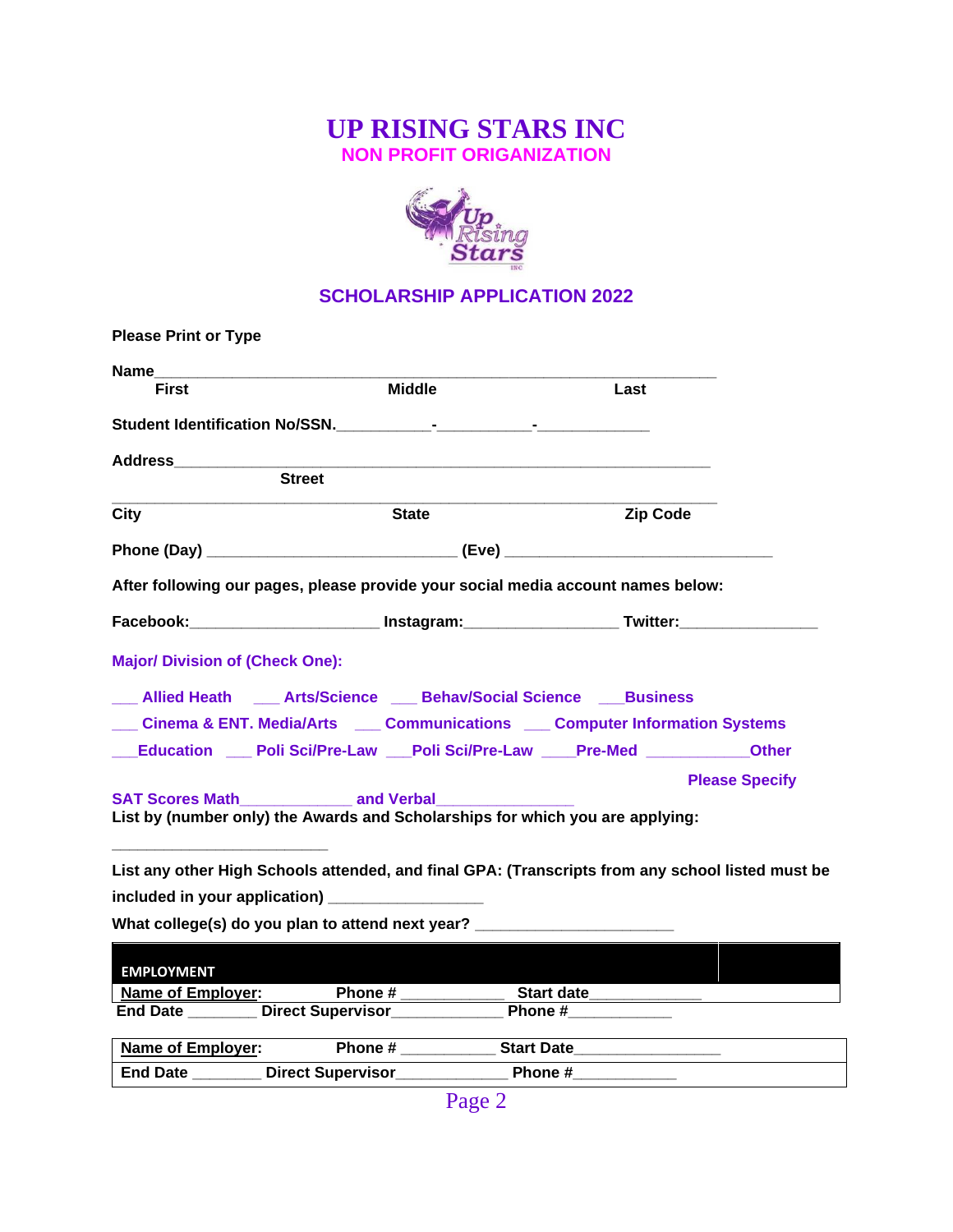## **UP RISING STARS INC NON PROFIT ORIGANIZATION**



## **SCHOLARSHIP APPLICATION 2022**

| <b>Please Print or Type</b>            |                                                                                  |                                                                                                  |
|----------------------------------------|----------------------------------------------------------------------------------|--------------------------------------------------------------------------------------------------|
|                                        |                                                                                  |                                                                                                  |
| <b>First</b>                           | <b>Middle</b>                                                                    | Last                                                                                             |
|                                        | Student Identification No/SSN.                                                   |                                                                                                  |
|                                        |                                                                                  |                                                                                                  |
|                                        | <b>Street</b>                                                                    |                                                                                                  |
| City                                   | <b>State</b>                                                                     | <b>Zip Code</b>                                                                                  |
|                                        |                                                                                  | Phone (Day) __________________________________(Eve) ____________________________                 |
|                                        | After following our pages, please provide your social media account names below: |                                                                                                  |
|                                        |                                                                                  | Facebook:________________________ Instagram:_____________________Twitter:_____________           |
| <b>Major/ Division of (Check One):</b> |                                                                                  |                                                                                                  |
|                                        | __ Allied Heath ___ Arts/Science __ Behav/Social Science __ Business             |                                                                                                  |
|                                        |                                                                                  | <b>Cinema &amp; ENT. Media/Arts Communications Computer Information Systems</b>                  |
|                                        |                                                                                  | Education ____ Poli Sci/Pre-Law ___ Poli Sci/Pre-Law ____ Pre-Med ___________ Other              |
|                                        |                                                                                  | <b>Please Specify</b>                                                                            |
|                                        | List by (number only) the Awards and Scholarships for which you are applying:    |                                                                                                  |
|                                        |                                                                                  | List any other High Schools attended, and final GPA: (Transcripts from any school listed must be |
|                                        | included in your application) __________________                                 |                                                                                                  |

**What college(s) do you plan to attend next year? \_\_\_\_\_\_\_\_\_\_\_\_\_\_\_\_\_\_\_\_\_\_\_**

| <b>EMPLOYMENT</b>        |                          |                   |  |
|--------------------------|--------------------------|-------------------|--|
| Name of Employer:        | Phone #                  | Start date        |  |
| <b>End Date</b>          | <b>Direct Supervisor</b> | Phone #           |  |
| <b>Name of Employer:</b> | Phone #                  | <b>Start Date</b> |  |
| <b>End Date</b>          | <b>Direct Supervisor</b> | Phone #           |  |

Page 2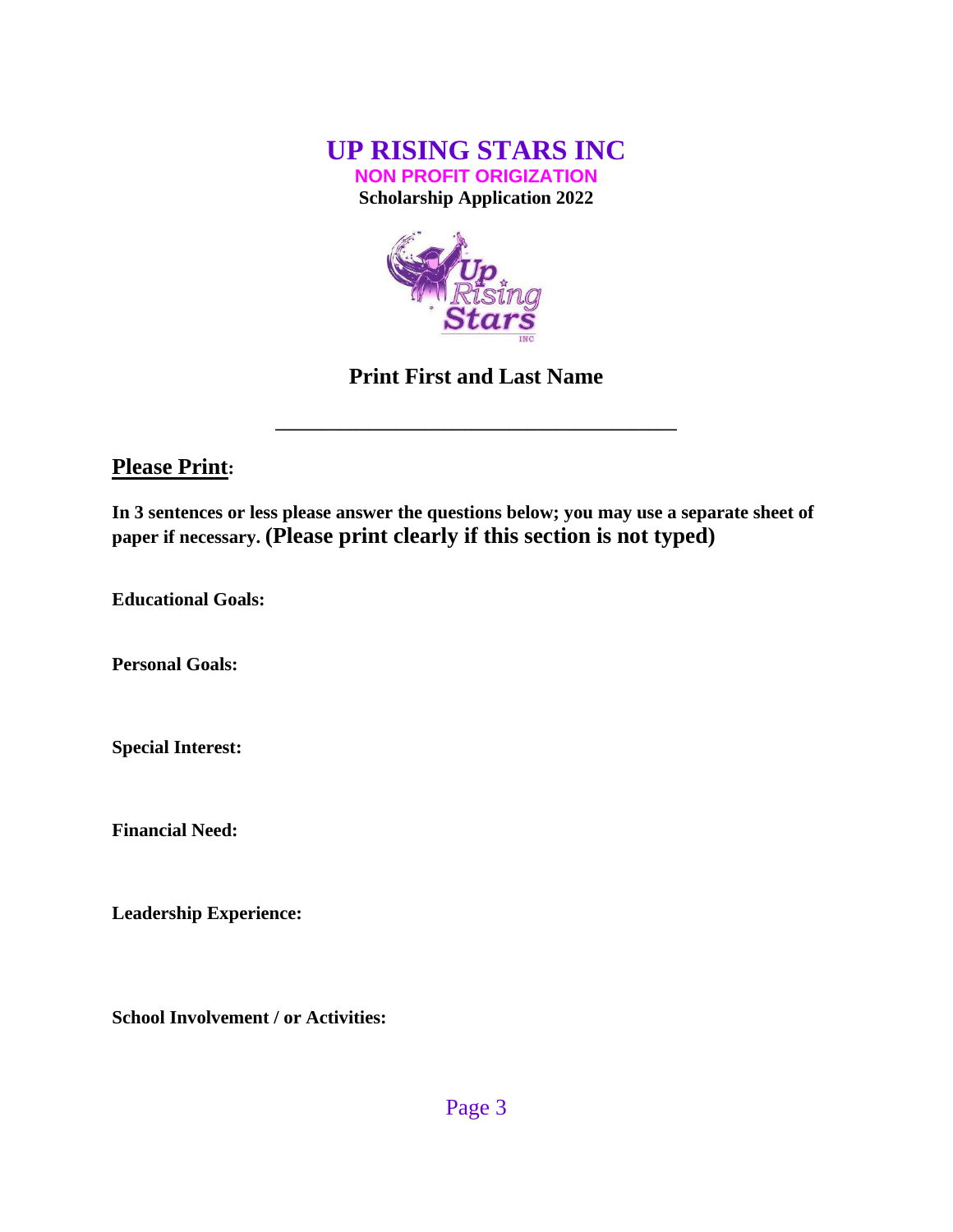



## **Print First and Last Name**

**\_\_\_\_\_\_\_\_\_\_\_\_\_\_\_\_\_\_\_\_\_\_\_\_\_\_\_\_\_\_\_\_\_\_\_\_\_\_\_\_\_\_\_**

### **Please Print:**

**In 3 sentences or less please answer the questions below; you may use a separate sheet of paper if necessary. (Please print clearly if this section is not typed)**

**Educational Goals:**

**Personal Goals:**

**Special Interest:**

**Financial Need:**

**Leadership Experience:**

**School Involvement / or Activities:**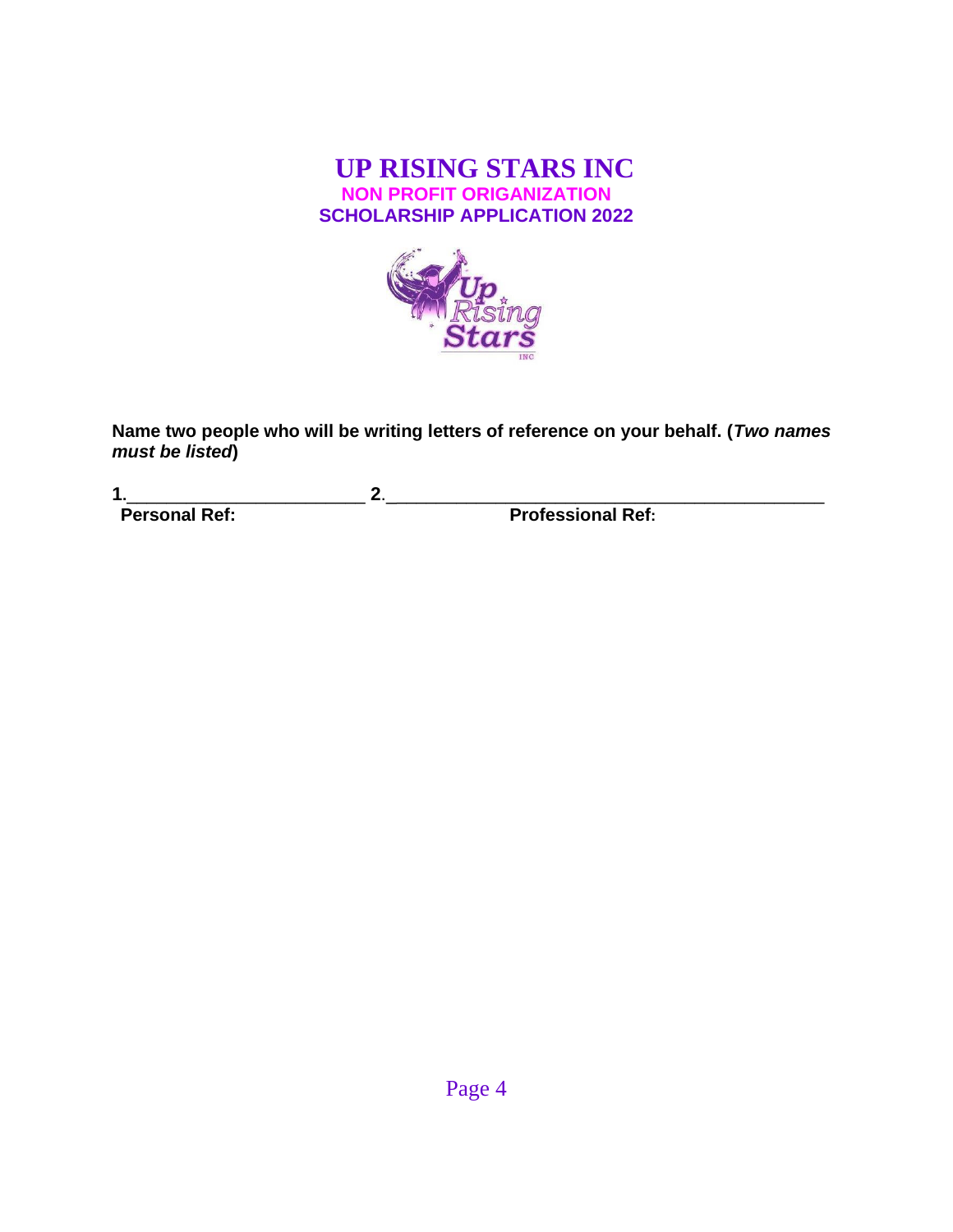## **UP RISING STARS INC NON PROFIT ORIGANIZATION SCHOLARSHIP APPLICATION 2022**



**Name two people who will be writing letters of reference on your behalf. (***Two names must be listed***)**

**1.**\_\_\_\_\_\_\_\_\_\_\_\_\_\_\_\_\_\_\_\_\_\_\_\_ **2**.\_\_\_\_\_\_\_\_\_\_\_\_\_\_\_\_\_\_\_\_\_\_\_\_\_\_\_\_\_\_\_\_\_\_\_\_\_\_\_\_\_\_\_\_  **Personal Ref: Professional Ref:**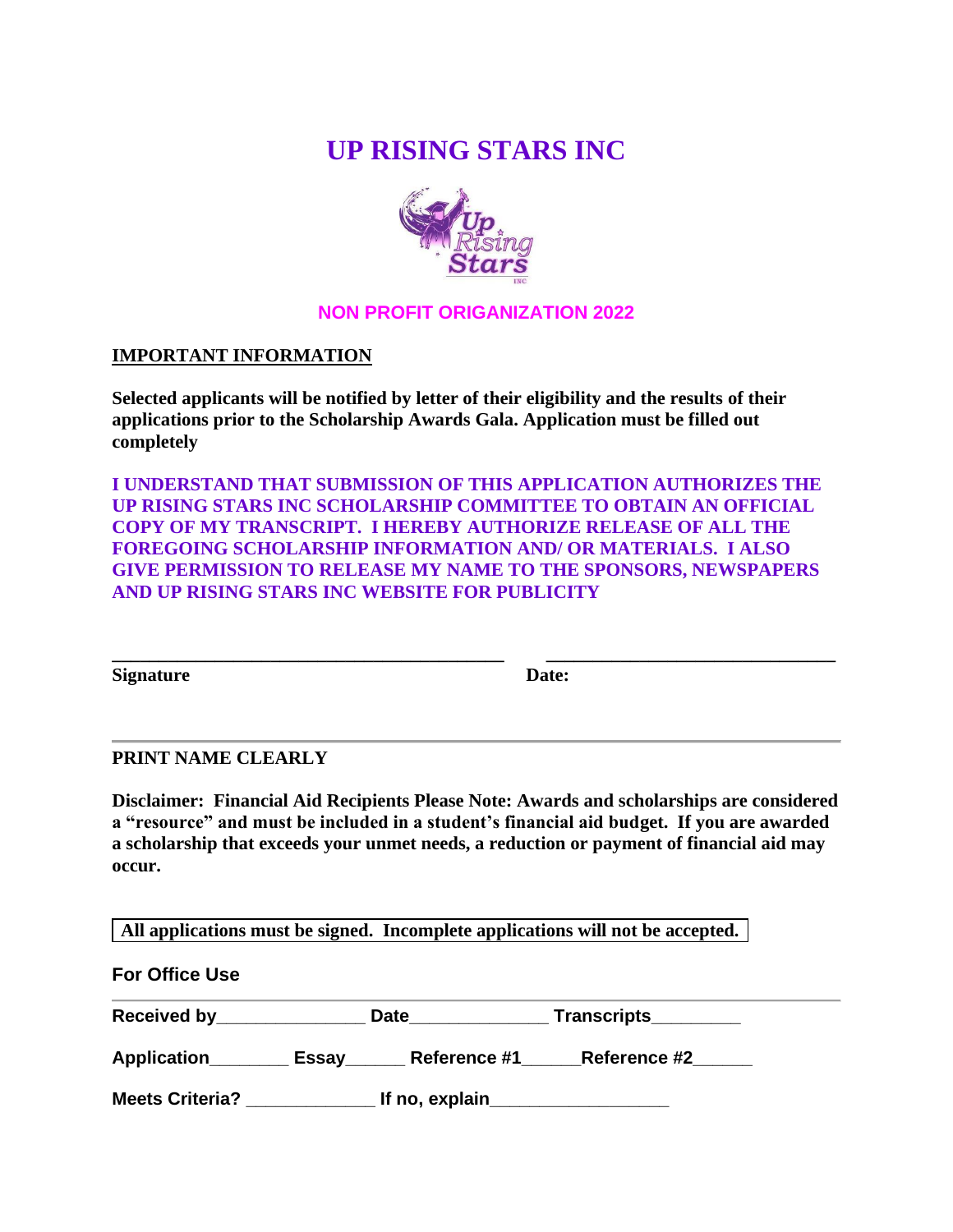# **UP RISING STARS INC**



#### **NON PROFIT ORIGANIZATION 2022**

#### **IMPORTANT INFORMATION**

**Selected applicants will be notified by letter of their eligibility and the results of their applications prior to the Scholarship Awards Gala. Application must be filled out completely**

**I UNDERSTAND THAT SUBMISSION OF THIS APPLICATION AUTHORIZES THE UP RISING STARS INC SCHOLARSHIP COMMITTEE TO OBTAIN AN OFFICIAL COPY OF MY TRANSCRIPT. I HEREBY AUTHORIZE RELEASE OF ALL THE FOREGOING SCHOLARSHIP INFORMATION AND/ OR MATERIALS. I ALSO GIVE PERMISSION TO RELEASE MY NAME TO THE SPONSORS, NEWSPAPERS AND UP RISING STARS INC WEBSITE FOR PUBLICITY**

**\_\_\_\_\_\_\_\_\_\_\_\_\_\_\_\_\_\_\_\_\_\_\_\_\_\_\_\_\_\_\_\_\_\_\_\_\_\_\_\_\_\_ \_\_\_\_\_\_\_\_\_\_\_\_\_\_\_\_\_\_\_\_\_\_\_\_\_\_\_\_\_\_\_**

**Signature Date:** Date:

#### **PRINT NAME CLEARLY**

**Disclaimer: Financial Aid Recipients Please Note: Awards and scholarships are considered a "resource" and must be included in a student's financial aid budget. If you are awarded a scholarship that exceeds your unmet needs, a reduction or payment of financial aid may occur.**

**All applications must be signed. Incomplete applications will not be accepted.**

**For Office Use**

| <b>Received by</b> |       | Date         | <b>Transcripts</b> |  |
|--------------------|-------|--------------|--------------------|--|
| <b>Application</b> | Essay | Reference #1 | Reference #2       |  |
| .<br>.             |       |              |                    |  |

**Meets Criteria? \_\_\_\_\_\_\_\_\_\_\_\_\_ If no, explain\_\_\_\_\_\_\_\_\_\_\_\_\_\_\_\_\_\_**